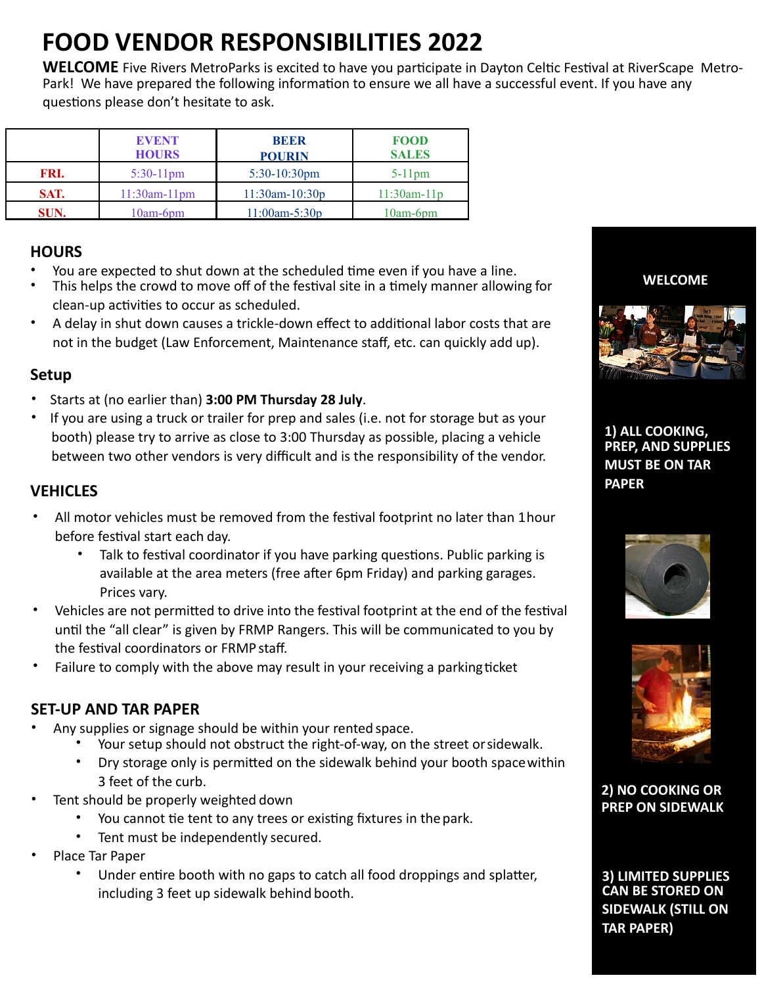# **FOOD VENDOR RESPONSIBILITIES 2022**

**WELCOME** Five Rivers MetroParks is excited to have you participate in Dayton Celtic Festival at RiverScape Metro-Park! We have prepared the following information to ensure we all have a successful event. If you have any questions please don't hesitate to ask.

|      | <b>EVENT</b><br><b>HOURS</b> | <b>BEER</b><br><b>POURIN</b> | <b>FOOD</b><br><b>SALES</b> |
|------|------------------------------|------------------------------|-----------------------------|
| FRI. | $5:30-11$ pm                 | $5:30-10:30$ pm              | $5-11$ pm                   |
| SAT. | $11:30$ am- $11$ pm          | $11:30$ am- $10:30p$         | $11:30am-11p$               |
| SUN. | $10$ am- $6$ pm              | $11:00$ am-5:30p             | $10am-6pm$                  |

## **HOURS**

- You are expected to shut down at the scheduled time even if you have a line.
- This helps the crowd to move off of the festival site in a timely manner allowing for clean-up activities to occur as scheduled.
- A delay in shut down causes a trickle-down effect to additional labor costs that are not in the budget (Law Enforcement, Maintenance staff, etc. can quickly add up).

## **Setup**

- Starts at (no earlier than) **3:00 PM Thursday 28 July**.
- If you are using a truck or trailer for prep and sales (i.e. not for storage but as your booth) please try to arrive as close to 3:00 Thursday as possible, placing a vehicle between two other vendors is very difficult and is the responsibility of the vendor.

## **VEHICLES**

- All motor vehicles must be removed from the festival footprint no later than 1hour before festival start each day.
	- Talk to festival coordinator if you have parking questions. Public parking is available at the area meters (free after 6pm Friday) and parking garages. Prices vary.
- Vehicles are not permitted to drive into the festival footprint at the end of the festival until the "all clear" is given by FRMP Rangers. This will be communicated to you by the festival coordinators or FRMP staff.
- Failure to comply with the above may result in your receiving a parking ticket

### **SET-UP AND TAR PAPER**

- Any supplies or signage should be within your rented space.
	- Your setup should not obstruct the right-of-way, on the street or sidewalk.
	- Dry storage only is permitted on the sidewalk behind your booth spacewithin 3 feet of the curb.
- Tent should be properly weighted down
	- You cannot tie tent to any trees or existing fixtures in the park.
	- Tent must be independently secured.
- Place Tar Paper
	- Under entire booth with no gaps to catch all food droppings and splatter, including 3 feet up sidewalk behind booth.

**WELCOME**



**1) ALL COOKING, PREP, AND SUPPLIES MUST BE ON TAR PAPER**





**2) NO COOKING OR PREP ON SIDEWALK**

**3) LIMITED SUPPLIES CAN BE STORED ON SIDEWALK (STILL ON TAR PAPER)**